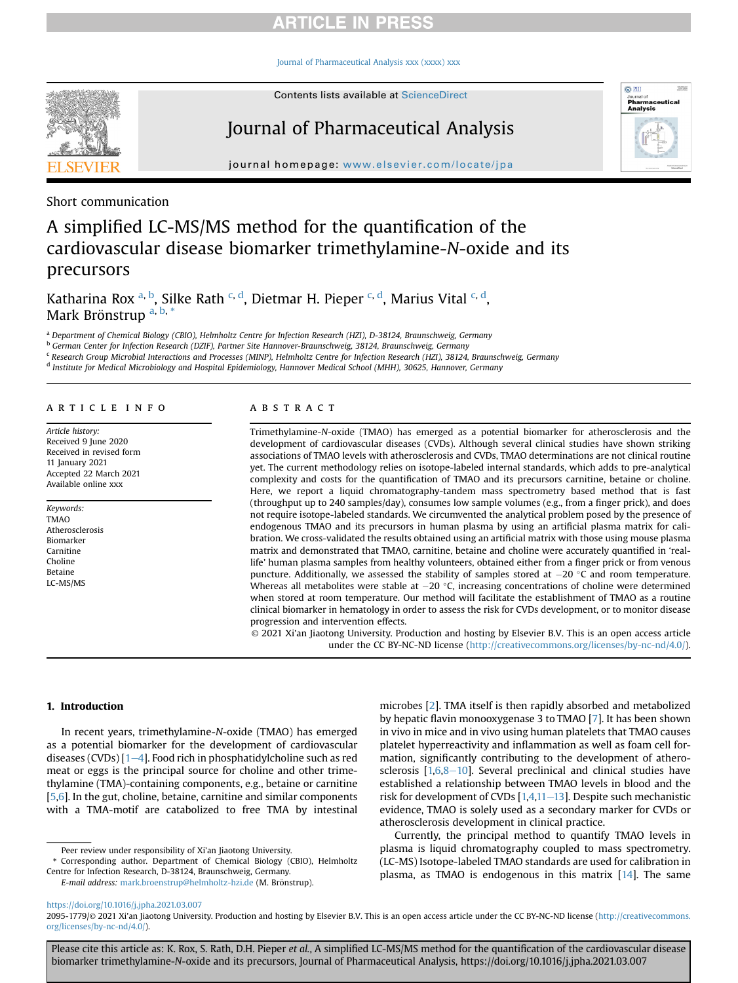# **ARTICLE IN PRESS**

[Journal of Pharmaceutical Analysis xxx \(xxxx\) xxx](https://doi.org/10.1016/j.jpha.2021.03.007)



Contents lists available at ScienceDirect

# Journal of Pharmaceutical Analysis



journal homepage: <www.elsevier.com/locate/jpa>

Short communication

# A simplified LC-MS/MS method for the quantification of the cardiovascular disease biomarker trimethylamine-N-oxide and its precursors

Katharina Rox <sup>[a,](#page-0-0) [b](#page-0-1)</sup>, Silke Rath <sup>[c](#page-0-2), [d](#page-0-3)</sup>, Dietmar H. Pieper <sup>[c,](#page-0-2) d</sup>, Marius Vital <sup>c, d</sup>, Mark Brönstrup<sup>[a,](#page-0-0) [b](#page-0-1),[\\*](#page-0-4)</sup>

<span id="page-0-0"></span>a Department of Chemical Biology (CBIO), Helmholtz Centre for Infection Research (HZI), D-38124, Braunschweig, Germany

<span id="page-0-1"></span><sup>b</sup> German Center for Infection Research (DZIF), Partner Site Hannover-Braunschweig, 38124, Braunschweig, Germany

<span id="page-0-2"></span><sup>c</sup> Research Group Microbial Interactions and Processes (MINP), Helmholtz Centre for Infection Research (HZI), 38124, Braunschweig, Germany

<span id="page-0-3"></span><sup>d</sup> Institute for Medical Microbiology and Hospital Epidemiology, Hannover Medical School (MHH), 30625, Hannover, Germany

### article info

Article history: Received 9 June 2020 Received in revised form 11 January 2021 Accepted 22 March 2021 Available online xxx

Keywords: TMAO Atherosclerosis Biomarker Carnitine Choline Betaine LC-MS/MS

## **ABSTRACT**

Trimethylamine-N-oxide (TMAO) has emerged as a potential biomarker for atherosclerosis and the development of cardiovascular diseases (CVDs). Although several clinical studies have shown striking associations of TMAO levels with atherosclerosis and CVDs, TMAO determinations are not clinical routine yet. The current methodology relies on isotope-labeled internal standards, which adds to pre-analytical complexity and costs for the quantification of TMAO and its precursors carnitine, betaine or choline. Here, we report a liquid chromatography-tandem mass spectrometry based method that is fast (throughput up to 240 samples/day), consumes low sample volumes (e.g., from a finger prick), and does not require isotope-labeled standards. We circumvented the analytical problem posed by the presence of endogenous TMAO and its precursors in human plasma by using an artificial plasma matrix for calibration. We cross-validated the results obtained using an artificial matrix with those using mouse plasma matrix and demonstrated that TMAO, carnitine, betaine and choline were accurately quantified in 'reallife' human plasma samples from healthy volunteers, obtained either from a finger prick or from venous puncture. Additionally, we assessed the stability of samples stored at  $-20$  °C and room temperature. Whereas all metabolites were stable at  $-20$  °C, increasing concentrations of choline were determined when stored at room temperature. Our method will facilitate the establishment of TMAO as a routine clinical biomarker in hematology in order to assess the risk for CVDs development, or to monitor disease progression and intervention effects.

© 2021 Xi'an Jiaotong University. Production and hosting by Elsevier B.V. This is an open access article under the CC BY-NC-ND license [\(http://creativecommons.org/licenses/by-nc-nd/4.0/](http://creativecommons.org/licenses/by-nc-nd/4.0/)).

### 1. Introduction

In recent years, trimethylamine-N-oxide (TMAO) has emerged as a potential biomarker for the development of cardiovascular diseases (CVDs)  $[1-4]$  $[1-4]$  $[1-4]$  $[1-4]$ . Food rich in phosphatidylcholine such as red meat or eggs is the principal source for choline and other trimethylamine (TMA)-containing components, e.g., betaine or carnitine [[5](#page-4-1)[,6\]](#page-4-2). In the gut, choline, betaine, carnitine and similar components with a TMA-motif are catabolized to free TMA by intestinal

microbes [[2](#page-4-3)]. TMA itself is then rapidly absorbed and metabolized by hepatic flavin monooxygenase 3 to TMAO [\[7\]](#page-4-4). It has been shown in vivo in mice and in vivo using human platelets that TMAO causes platelet hyperreactivity and inflammation as well as foam cell formation, significantly contributing to the development of atherosclerosis  $[1,6,8-10]$  $[1,6,8-10]$  $[1,6,8-10]$  $[1,6,8-10]$  $[1,6,8-10]$ . Several preclinical and clinical studies have established a relationship between TMAO levels in blood and the risk for development of CVDs  $[1,4,11-13]$  $[1,4,11-13]$  $[1,4,11-13]$  $[1,4,11-13]$  $[1,4,11-13]$  $[1,4,11-13]$ . Despite such mechanistic evidence, TMAO is solely used as a secondary marker for CVDs or atherosclerosis development in clinical practice.

Currently, the principal method to quantify TMAO levels in plasma is liquid chromatography coupled to mass spectrometry. (LC-MS) Isotope-labeled TMAO standards are used for calibration in plasma, as TMAO is endogenous in this matrix [[14\]](#page-4-8). The same

Please cite this article as: K. Rox, S. Rath, D.H. Pieper et al., A simplified LC-MS/MS method for the quantification of the cardiovascular disease biomarker trimethylamine-N-oxide and its precursors, Journal of Pharmaceutical Analysis, https://doi.org/10.1016/j.jpha.2021.03.007

Peer review under responsibility of Xi'an Jiaotong University.

<span id="page-0-4"></span><sup>\*</sup> Corresponding author. Department of Chemical Biology (CBIO), Helmholtz Centre for Infection Research, D-38124, Braunschweig, Germany.

E-mail address: [mark.broenstrup@helmholtz-hzi.de](mailto:mark.broenstrup@helmholtz-hzi.de) (M. Brönstrup).

<https://doi.org/10.1016/j.jpha.2021.03.007>

<sup>2095-1779/© 2021</sup> Xi'an Jiaotong University. Production and hosting by Elsevier B.V. This is an open access article under the CC BY-NC-ND license [\(http://creativecommons.](http://creativecommons.org/licenses/by-nc-nd/4.0/) [org/licenses/by-nc-nd/4.0/](http://creativecommons.org/licenses/by-nc-nd/4.0/)).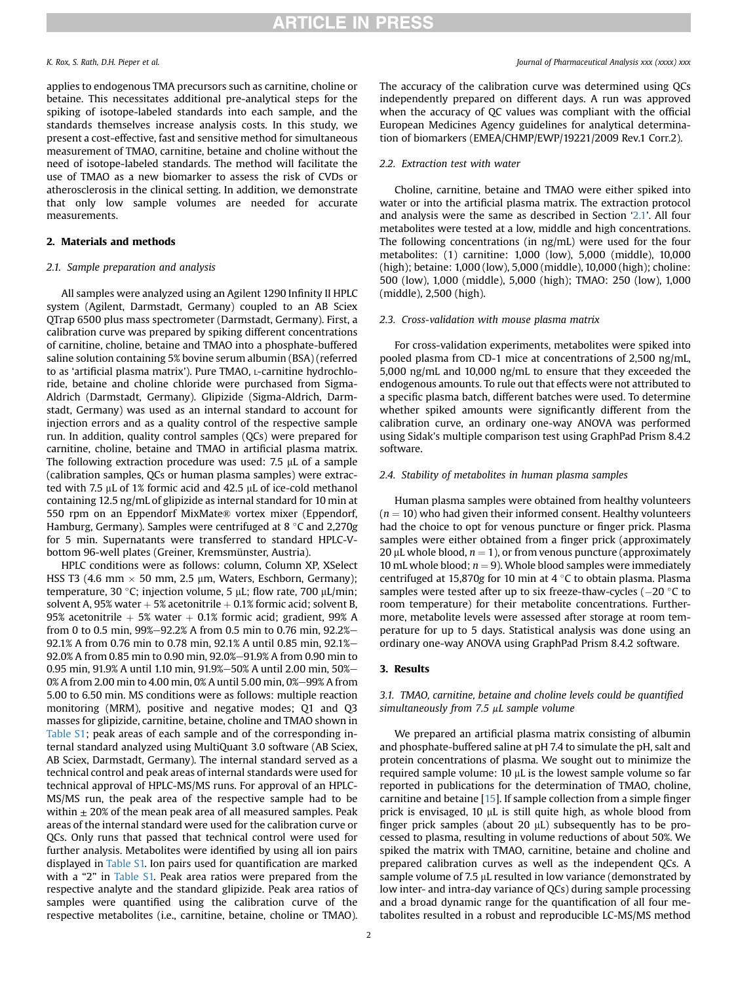applies to endogenous TMA precursors such as carnitine, choline or betaine. This necessitates additional pre-analytical steps for the spiking of isotope-labeled standards into each sample, and the standards themselves increase analysis costs. In this study, we present a cost-effective, fast and sensitive method for simultaneous measurement of TMAO, carnitine, betaine and choline without the need of isotope-labeled standards. The method will facilitate the use of TMAO as a new biomarker to assess the risk of CVDs or atherosclerosis in the clinical setting. In addition, we demonstrate that only low sample volumes are needed for accurate measurements.

### 2. Materials and methods

## <span id="page-1-0"></span>2.1. Sample preparation and analysis

All samples were analyzed using an Agilent 1290 Infinity II HPLC system (Agilent, Darmstadt, Germany) coupled to an AB Sciex QTrap 6500 plus mass spectrometer (Darmstadt, Germany). First, a calibration curve was prepared by spiking different concentrations of carnitine, choline, betaine and TMAO into a phosphate-buffered saline solution containing 5% bovine serum albumin (BSA) (referred to as 'artificial plasma matrix'). Pure TMAO, L-carnitine hydrochloride, betaine and choline chloride were purchased from Sigma-Aldrich (Darmstadt, Germany). Glipizide (Sigma-Aldrich, Darmstadt, Germany) was used as an internal standard to account for injection errors and as a quality control of the respective sample run. In addition, quality control samples (QCs) were prepared for carnitine, choline, betaine and TMAO in artificial plasma matrix. The following extraction procedure was used:  $7.5 \mu L$  of a sample (calibration samples, QCs or human plasma samples) were extracted with 7.5  $\mu$ L of 1% formic acid and 42.5  $\mu$ L of ice-cold methanol containing 12.5 ng/mL of glipizide as internal standard for 10 min at 550 rpm on an Eppendorf MixMate® vortex mixer (Eppendorf, Hamburg, Germany). Samples were centrifuged at  $8 \degree C$  and 2,270g for 5 min. Supernatants were transferred to standard HPLC-Vbottom 96-well plates (Greiner, Kremsmünster, Austria).

HPLC conditions were as follows: column, Column XP, XSelect HSS T3 (4.6 mm  $\times$  50 mm, 2.5 µm, Waters, Eschborn, Germany); temperature, 30 °C; injection volume, 5  $\mu$ L; flow rate, 700  $\mu$ L/min; solvent A, 95% water  $+5%$  acetonitrile  $+0.1%$  formic acid; solvent B, 95% acetonitrile  $+5$ % water  $+0.1$ % formic acid; gradient, 99% A from 0 to 0.5 min,  $99\% - 92.2\%$  A from 0.5 min to 0.76 min,  $92.2\% -$ 92.1% A from 0.76 min to 0.78 min, 92.1% A until 0.85 min, 92.1%-92.0% A from 0.85 min to 0.90 min, 92.0%-91.9% A from 0.90 min to 0.95 min, 91.9% A until 1.10 min, 91.9%-50% A until 2.00 min, 50%-0% A from 2.00 min to 4.00 min, 0% A until 5.00 min, 0%-99% A from 5.00 to 6.50 min. MS conditions were as follows: multiple reaction monitoring (MRM), positive and negative modes; Q1 and Q3 masses for glipizide, carnitine, betaine, choline and TMAO shown in Table S1; peak areas of each sample and of the corresponding internal standard analyzed using MultiQuant 3.0 software (AB Sciex, AB Sciex, Darmstadt, Germany). The internal standard served as a technical control and peak areas of internal standards were used for technical approval of HPLC-MS/MS runs. For approval of an HPLC-MS/MS run, the peak area of the respective sample had to be within  $\pm$  20% of the mean peak area of all measured samples. Peak areas of the internal standard were used for the calibration curve or QCs. Only runs that passed that technical control were used for further analysis. Metabolites were identified by using all ion pairs displayed in Table S1. Ion pairs used for quantification are marked with a "2" in Table S1. Peak area ratios were prepared from the respective analyte and the standard glipizide. Peak area ratios of samples were quantified using the calibration curve of the respective metabolites (i.e., carnitine, betaine, choline or TMAO).

### K. Rox, S. Rath, D.H. Pieper et al. **Figure 2018** 2018 12:30 and the U.S. Rox, S. Rath, D.H. Pieper et al.

The accuracy of the calibration curve was determined using QCs independently prepared on different days. A run was approved when the accuracy of QC values was compliant with the official European Medicines Agency guidelines for analytical determination of biomarkers (EMEA/CHMP/EWP/19221/2009 Rev.1 Corr.2).

### 2.2. Extraction test with water

Choline, carnitine, betaine and TMAO were either spiked into water or into the artificial plasma matrix. The extraction protocol and analysis were the same as described in Section '[2.1](#page-1-0)'. All four metabolites were tested at a low, middle and high concentrations. The following concentrations (in ng/mL) were used for the four metabolites: (1) carnitine: 1,000 (low), 5,000 (middle), 10,000 (high); betaine: 1,000 (low), 5,000 (middle), 10,000 (high); choline: 500 (low), 1,000 (middle), 5,000 (high); TMAO: 250 (low), 1,000 (middle), 2,500 (high).

### 2.3. Cross-validation with mouse plasma matrix

For cross-validation experiments, metabolites were spiked into pooled plasma from CD-1 mice at concentrations of 2,500 ng/mL, 5,000 ng/mL and 10,000 ng/mL to ensure that they exceeded the endogenous amounts. To rule out that effects were not attributed to a specific plasma batch, different batches were used. To determine whether spiked amounts were significantly different from the calibration curve, an ordinary one-way ANOVA was performed using Sidak's multiple comparison test using GraphPad Prism 8.4.2 software.

### 2.4. Stability of metabolites in human plasma samples

Human plasma samples were obtained from healthy volunteers  $(n = 10)$  who had given their informed consent. Healthy volunteers had the choice to opt for venous puncture or finger prick. Plasma samples were either obtained from a finger prick (approximately 20  $\mu$ L whole blood,  $n = 1$ ), or from venous puncture (approximately 10 mL whole blood;  $n = 9$ ). Whole blood samples were immediately centrifuged at 15,870g for 10 min at 4  $\degree$ C to obtain plasma. Plasma samples were tested after up to six freeze-thaw-cycles  $(-20 \degree C)$  to room temperature) for their metabolite concentrations. Furthermore, metabolite levels were assessed after storage at room temperature for up to 5 days. Statistical analysis was done using an ordinary one-way ANOVA using GraphPad Prism 8.4.2 software.

# 3. Results

3.1. TMAO, carnitine, betaine and choline levels could be quantified simultaneously from  $7.5$   $\mu$ L sample volume

We prepared an artificial plasma matrix consisting of albumin and phosphate-buffered saline at pH 7.4 to simulate the pH, salt and protein concentrations of plasma. We sought out to minimize the required sample volume:  $10 \mu$ L is the lowest sample volume so far reported in publications for the determination of TMAO, choline, carnitine and betaine [\[15](#page-4-9)]. If sample collection from a simple finger prick is envisaged, 10 µL is still quite high, as whole blood from finger prick samples (about 20  $\mu$ L) subsequently has to be processed to plasma, resulting in volume reductions of about 50%. We spiked the matrix with TMAO, carnitine, betaine and choline and prepared calibration curves as well as the independent QCs. A sample volume of  $7.5 \mu$ L resulted in low variance (demonstrated by low inter- and intra-day variance of QCs) during sample processing and a broad dynamic range for the quantification of all four metabolites resulted in a robust and reproducible LC-MS/MS method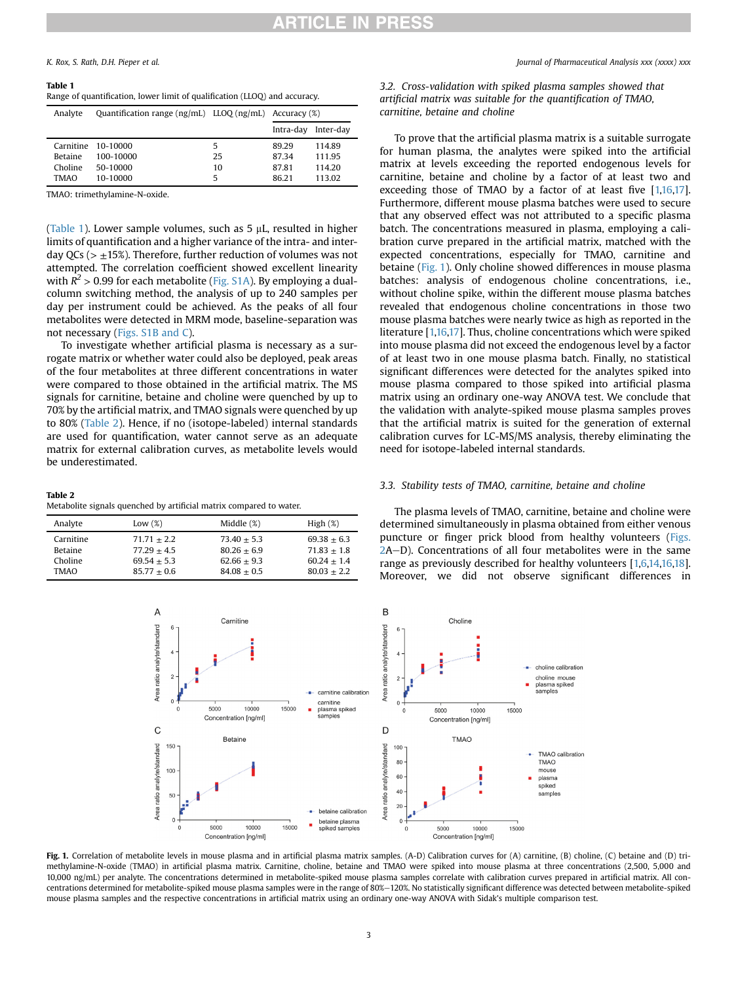# <span id="page-2-0"></span>Table 1

| Range of quantification, lower limit of qualification (LLOQ) and accuracy. |  |  |  |
|----------------------------------------------------------------------------|--|--|--|
|----------------------------------------------------------------------------|--|--|--|

| Analyte        | Quantification range $\{ng/mL\}$ LLOQ $\{ng/mL\}$ Accuracy $(\%)$ |    |           |           |
|----------------|-------------------------------------------------------------------|----|-----------|-----------|
|                |                                                                   |    | Intra-day | Inter-day |
|                | Carnitine 10-10000                                                | 5  | 8929      | 114.89    |
| <b>Betaine</b> | 100-10000                                                         | 25 | 87.34     | 111.95    |
| Choline        | 50-10000                                                          | 10 | 87.81     | 114.20    |
| <b>TMAO</b>    | 10-10000                                                          | 5  | 86.21     | 113.02    |

TMAO: trimethylamine-N-oxide.

([Table 1](#page-2-0)). Lower sample volumes, such as  $5 \mu L$ , resulted in higher limits of quantification and a higher variance of the intra- and interday QCs ( $> \pm 15\%$ ). Therefore, further reduction of volumes was not attempted. The correlation coefficient showed excellent linearity with  $R^2 > 0.99$  for each metabolite (Fig. S1A). By employing a dualcolumn switching method, the analysis of up to 240 samples per day per instrument could be achieved. As the peaks of all four metabolites were detected in MRM mode, baseline-separation was not necessary (Figs. S1B and C).

To investigate whether artificial plasma is necessary as a surrogate matrix or whether water could also be deployed, peak areas of the four metabolites at three different concentrations in water were compared to those obtained in the artificial matrix. The MS signals for carnitine, betaine and choline were quenched by up to 70% by the artificial matrix, and TMAO signals were quenched by up to 80% [\(Table 2\)](#page-2-1). Hence, if no (isotope-labeled) internal standards are used for quantification, water cannot serve as an adequate matrix for external calibration curves, as metabolite levels would be underestimated.

### <span id="page-2-1"></span>Table 2

Metabolite signals quenched by artificial matrix compared to water.

<span id="page-2-2"></span>

| Analyte        | Low $(\%)$    | Middle (%)    | High $(\%)$     |
|----------------|---------------|---------------|-----------------|
| Carnitine      | $71.71 + 2.2$ | $73.40 + 5.3$ | $69.38 + 6.3$   |
| <b>Betaine</b> | $77.29 + 4.5$ | $80.26 + 6.9$ | $71.83 + 1.8$   |
| Choline        | $69.54 + 5.3$ | $62.66 + 9.3$ | $60.24 + 1.4$   |
| TMAO           | $85.77 + 0.6$ | $84.08 + 0.5$ | $80.03 \pm 2.2$ |

3.2. Cross-validation with spiked plasma samples showed that artificial matrix was suitable for the quantification of TMAO, carnitine, betaine and choline

To prove that the artificial plasma matrix is a suitable surrogate for human plasma, the analytes were spiked into the artificial matrix at levels exceeding the reported endogenous levels for carnitine, betaine and choline by a factor of at least two and exceeding those of TMAO by a factor of at least five [\[1](#page-4-0)[,16,](#page-4-10)[17\]](#page-4-11). Furthermore, different mouse plasma batches were used to secure that any observed effect was not attributed to a specific plasma batch. The concentrations measured in plasma, employing a calibration curve prepared in the artificial matrix, matched with the expected concentrations, especially for TMAO, carnitine and betaine [\(Fig. 1\)](#page-2-2). Only choline showed differences in mouse plasma batches: analysis of endogenous choline concentrations, i.e., without choline spike, within the different mouse plasma batches revealed that endogenous choline concentrations in those two mouse plasma batches were nearly twice as high as reported in the literature [[1](#page-4-0)[,16,](#page-4-10)[17\]](#page-4-11). Thus, choline concentrations which were spiked into mouse plasma did not exceed the endogenous level by a factor of at least two in one mouse plasma batch. Finally, no statistical significant differences were detected for the analytes spiked into mouse plasma compared to those spiked into artificial plasma matrix using an ordinary one-way ANOVA test. We conclude that the validation with analyte-spiked mouse plasma samples proves that the artificial matrix is suited for the generation of external calibration curves for LC-MS/MS analysis, thereby eliminating the need for isotope-labeled internal standards.

### 3.3. Stability tests of TMAO, carnitine, betaine and choline

The plasma levels of TMAO, carnitine, betaine and choline were determined simultaneously in plasma obtained from either venous puncture or finger prick blood from healthy volunteers [\(Figs.](#page-3-0)  $2A-D$  $2A-D$ ). Concentrations of all four metabolites were in the same range as previously described for healthy volunteers [\[1,](#page-4-0)[6](#page-4-2)[,14](#page-4-8)[,16,](#page-4-10)[18\]](#page-4-12). Moreover, we did not observe significant differences in



Fig. 1. Correlation of metabolite levels in mouse plasma and in artificial plasma matrix samples. (A-D) Calibration curves for (A) carnitine, (B) choline, (C) betaine and (D) trimethylamine-N-oxide (TMAO) in artificial plasma matrix. Carnitine, choline, betaine and TMAO were spiked into mouse plasma at three concentrations (2,500, 5,000 and 10,000 ng/mL) per analyte. The concentrations determined in metabolite-spiked mouse plasma samples correlate with calibration curves prepared in artificial matrix. All concentrations determined for metabolite-spiked mouse plasma samples were in the range of 80%-120%. No statistically significant difference was detected between metabolite-spiked mouse plasma samples and the respective concentrations in artificial matrix using an ordinary one-way ANOVA with Sidak's multiple comparison test.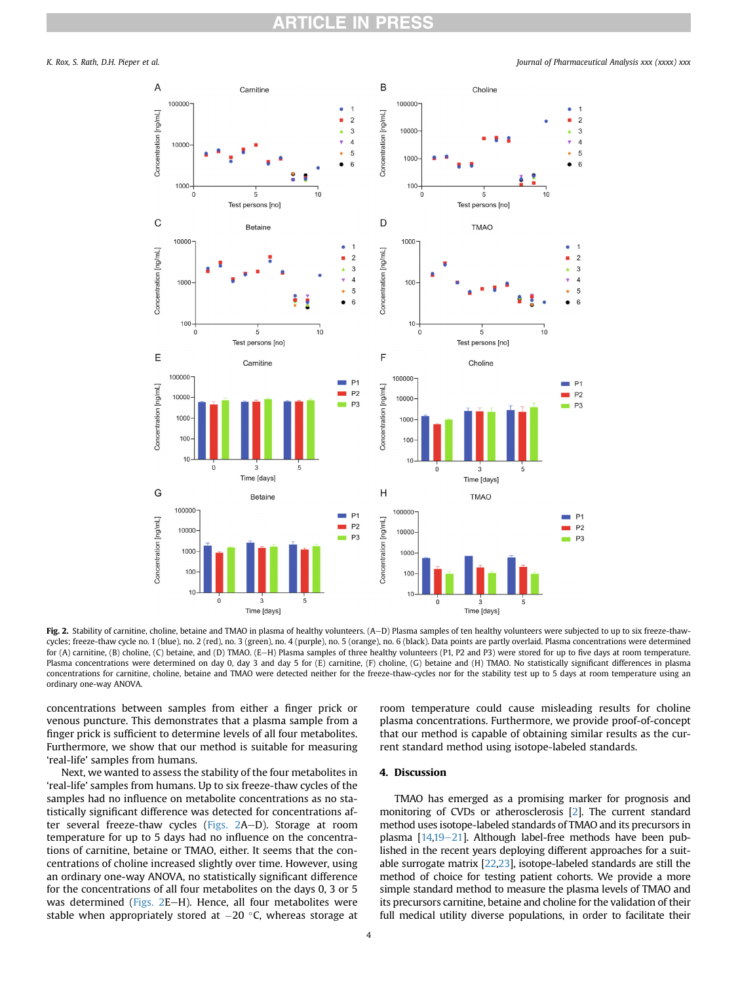# **CLE IN PRESS**

<span id="page-3-0"></span>

Fig. 2. Stability of carnitine, choline, betaine and TMAO in plasma of healthy volunteers. (A-D) Plasma samples of ten healthy volunteers were subjected to up to six freeze-thawcycles; freeze-thaw cycle no. 1 (blue), no. 2 (red), no. 3 (green), no. 4 (purple), no. 5 (orange), no. 6 (black). Data points are partly overlaid. Plasma concentrations were determined for (A) carnitine, (B) choline, (C) betaine, and (D) TMAO. (E-H) Plasma samples of three healthy volunteers (P1, P2 and P3) were stored for up to five days at room temperature. Plasma concentrations were determined on day 0, day 3 and day 5 for (E) carnitine, (F) choline, (G) betaine and (H) TMAO. No statistically significant differences in plasma concentrations for carnitine, choline, betaine and TMAO were detected neither for the freeze-thaw-cycles nor for the stability test up to 5 days at room temperature using an ordinary one-way ANOVA.

concentrations between samples from either a finger prick or venous puncture. This demonstrates that a plasma sample from a finger prick is sufficient to determine levels of all four metabolites. Furthermore, we show that our method is suitable for measuring 'real-life' samples from humans.

Next, we wanted to assess the stability of the four metabolites in 'real-life' samples from humans. Up to six freeze-thaw cycles of the samples had no influence on metabolite concentrations as no statistically significant difference was detected for concentrations after several freeze-thaw cycles ( $Figs. 2A-D$  $Figs. 2A-D$ ). Storage at room temperature for up to 5 days had no influence on the concentrations of carnitine, betaine or TMAO, either. It seems that the concentrations of choline increased slightly over time. However, using an ordinary one-way ANOVA, no statistically significant difference for the concentrations of all four metabolites on the days 0, 3 or 5 was determined (Figs.  $2E-H$ ). Hence, all four metabolites were stable when appropriately stored at  $-20$  °C, whereas storage at room temperature could cause misleading results for choline plasma concentrations. Furthermore, we provide proof-of-concept that our method is capable of obtaining similar results as the current standard method using isotope-labeled standards.

## 4. Discussion

TMAO has emerged as a promising marker for prognosis and monitoring of CVDs or atherosclerosis [\[2\]](#page-4-3). The current standard method uses isotope-labeled standards of TMAO and its precursors in plasma  $[14,19-21]$  $[14,19-21]$  $[14,19-21]$  $[14,19-21]$ . Although label-free methods have been published in the recent years deploying different approaches for a suitable surrogate matrix [\[22](#page-4-14)[,23\]](#page-4-15), isotope-labeled standards are still the method of choice for testing patient cohorts. We provide a more simple standard method to measure the plasma levels of TMAO and its precursors carnitine, betaine and choline for the validation of their full medical utility diverse populations, in order to facilitate their